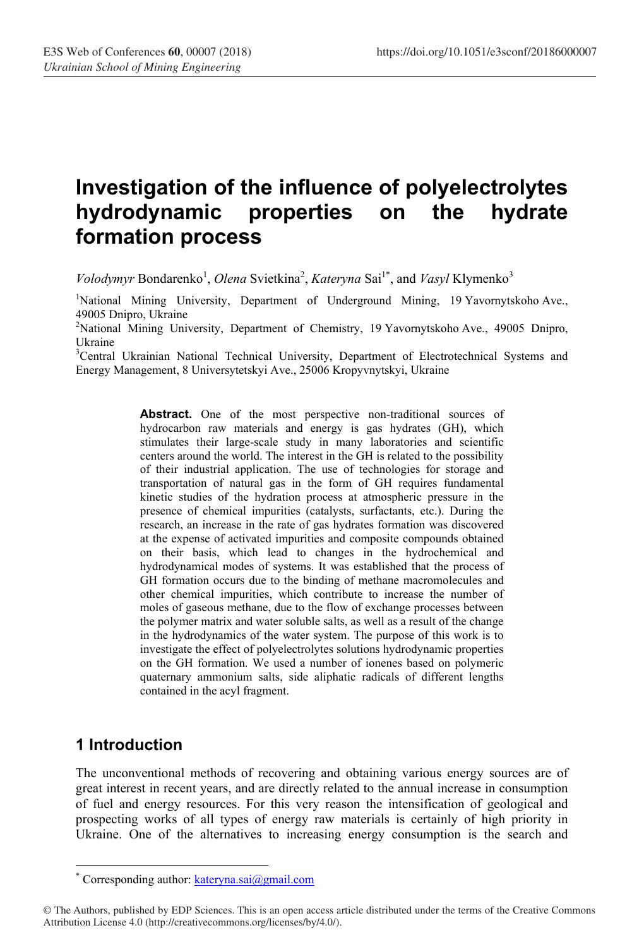# **Investigation of the influence of polyelectrolytes hydrodynamic properties on the hydrate formation process**

*Volodymyr* Bondarenko<sup>1</sup>, *Olena* Svietkina<sup>2</sup>, *Kateryna* Sai<sup>1\*</sup>, and *Vasyl* Klymenko<sup>3</sup>

<sup>1</sup>National Mining University, Department of Underground Mining, 19 Yavornytskoho Ave., 49005 Dnipro, Ukraine

<sup>2</sup>National Mining University, Department of Chemistry, 19 Yavornytskoho Ave., 49005 Dnipro, Ukraine

<sup>3</sup>Central Ukrainian National Technical University, Department of Electrotechnical Systems and Energy Management, 8 Universytetskyi Ave., 25006 Kropyvnytskyi, Ukraine

> **Abstract.** One of the most perspective non-traditional sources of hydrocarbon raw materials and energy is gas hydrates (GH), which stimulates their large-scale study in many laboratories and scientific centers around the world. The interest in the GH is related to the possibility of their industrial application. The use of technologies for storage and transportation of natural gas in the form of GH requires fundamental kinetic studies of the hydration process at atmospheric pressure in the presence of chemical impurities (catalysts, surfactants, etc.). During the research, an increase in the rate of gas hydrates formation was discovered at the expense of activated impurities and composite compounds obtained on their basis, which lead to changes in the hydrochemical and hydrodynamical modes of systems. It was established that the process of GH formation occurs due to the binding of methane macromolecules and other chemical impurities, which contribute to increase the number of moles of gaseous methane, due to the flow of exchange processes between the polymer matrix and water soluble salts, as well as a result of the change in the hydrodynamics of the water system. The purpose of this work is to investigate the effect of polyelectrolytes solutions hydrodynamic properties on the GH formation. We used a number of ionenes based on polymeric quaternary ammonium salts, side aliphatic radicals of different lengths contained in the acyl fragment.

# **1 Introduction**

 $\overline{a}$ 

The unconventional methods of recovering and obtaining various energy sources are of great interest in recent years, and are directly related to the annual increase in consumption of fuel and energy resources. For this very reason the intensification of geological and prospecting works of all types of energy raw materials is certainly of high priority in Ukraine. One of the alternatives to increasing energy consumption is the search and

<sup>\*</sup> Corresponding author: kateryna.sai@gmail.com

<sup>©</sup> The Authors, published by EDP Sciences. This is an open access article distributed under the terms of the Creative Commons Attribution License 4.0 (http://creativecommons.org/licenses/by/4.0/).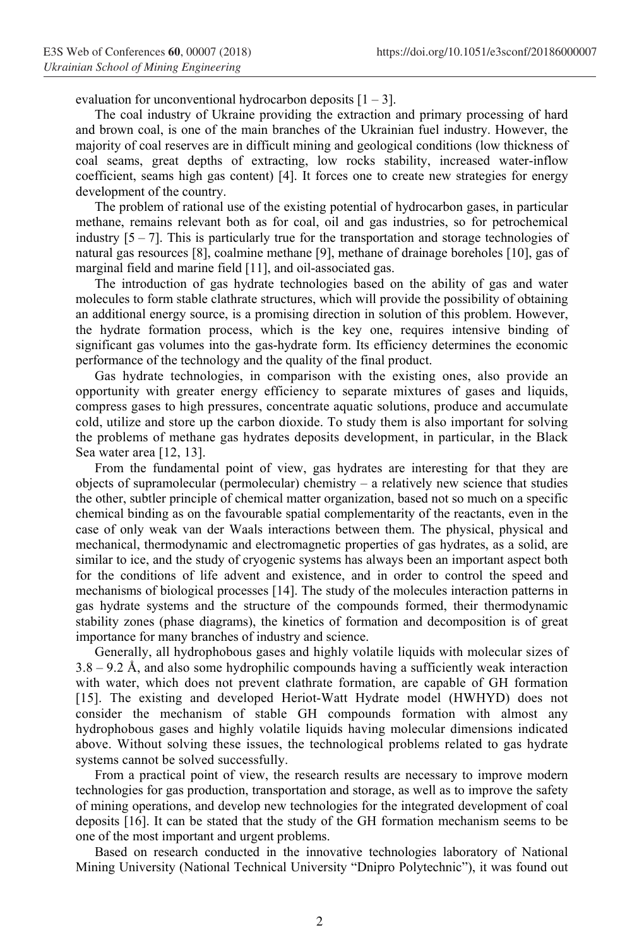evaluation for unconventional hydrocarbon deposits  $[1 - 3]$ .

The coal industry of Ukraine providing the extraction and primary processing of hard and brown coal, is one of the main branches of the Ukrainian fuel industry. However, the majority of coal reserves are in difficult mining and geological conditions (low thickness of coal seams, great depths of extracting, low rocks stability, increased water-inflow coefficient, seams high gas content) [4]. It forces one to create new strategies for energy development of the country.

The problem of rational use of the existing potential of hydrocarbon gases, in particular methane, remains relevant both as for coal, oil and gas industries, so for petrochemical industry  $[5 - 7]$ . This is particularly true for the transportation and storage technologies of natural gas resources [8], coalmine methane [9], methane of drainage boreholes [10], gas of marginal field and marine field [11], and oil-associated gas.

The introduction of gas hydrate technologies based on the ability of gas and water molecules to form stable clathrate structures, which will provide the possibility of obtaining an additional energy source, is a promising direction in solution of this problem. However, the hydrate formation process, which is the key one, requires intensive binding of significant gas volumes into the gas-hydrate form. Its efficiency determines the economic performance of the technology and the quality of the final product.

Gas hydrate technologies, in comparison with the existing ones, also provide an opportunity with greater energy efficiency to separate mixtures of gases and liquids, compress gases to high pressures, concentrate aquatic solutions, produce and accumulate cold, utilize and store up the carbon dioxide. To study them is also important for solving the problems of methane gas hydrates deposits development, in particular, in the Black Sea water area [12, 13].

From the fundamental point of view, gas hydrates are interesting for that they are objects of supramolecular (permolecular) chemistry – a relatively new science that studies the other, subtler principle of chemical matter organization, based not so much on a specific chemical binding as on the favourable spatial complementarity of the reactants, even in the case of only weak van der Waals interactions between them. The physical, physical and mechanical, thermodynamic and electromagnetic properties of gas hydrates, as a solid, are similar to ice, and the study of cryogenic systems has always been an important aspect both for the conditions of life advent and existence, and in order to control the speed and mechanisms of biological processes [14]. The study of the molecules interaction patterns in gas hydrate systems and the structure of the compounds formed, their thermodynamic stability zones (phase diagrams), the kinetics of formation and decomposition is of great importance for many branches of industry and science.

Generally, all hydrophobous gases and highly volatile liquids with molecular sizes of  $3.8 - 9.2$  Å, and also some hydrophilic compounds having a sufficiently weak interaction with water, which does not prevent clathrate formation, are capable of GH formation [15]. The existing and developed Heriot-Watt Hydrate model (HWHYD) does not consider the mechanism of stable GH compounds formation with almost any hydrophobous gases and highly volatile liquids having molecular dimensions indicated above. Without solving these issues, the technological problems related to gas hydrate systems cannot be solved successfully.

From a practical point of view, the research results are necessary to improve modern technologies for gas production, transportation and storage, as well as to improve the safety of mining operations, and develop new technologies for the integrated development of coal deposits [16]. It can be stated that the study of the GH formation mechanism seems to be one of the most important and urgent problems.

Based on research conducted in the innovative technologies laboratory of National Mining University (National Technical University "Dnipro Polytechnic"), it was found out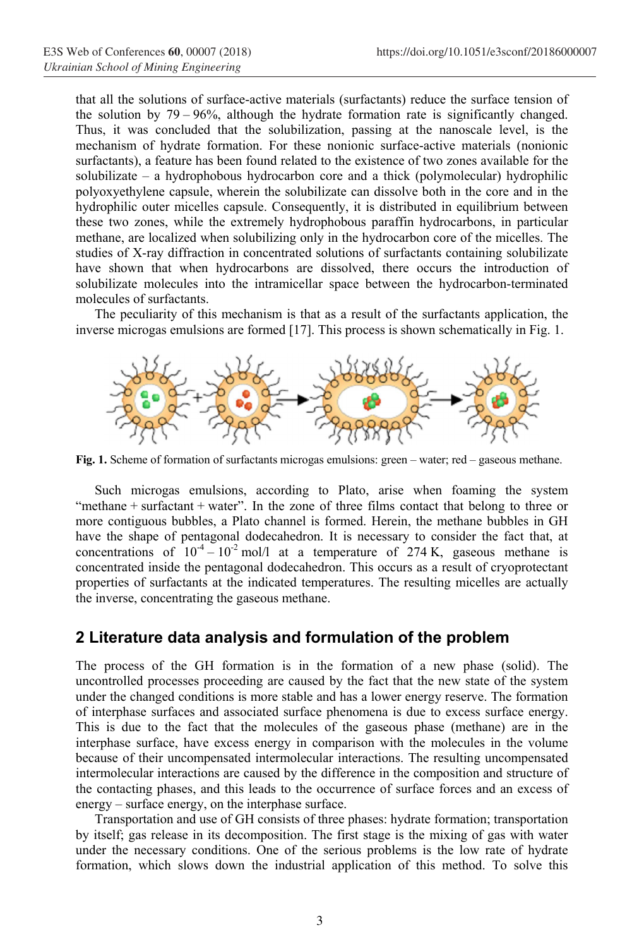that all the solutions of surface-active materials (surfactants) reduce the surface tension of the solution by  $79 - 96\%$ , although the hydrate formation rate is significantly changed. Thus, it was concluded that the solubilization, passing at the nanoscale level, is the mechanism of hydrate formation. For these nonionic surface-active materials (nonionic surfactants), a feature has been found related to the existence of two zones available for the solubilizate – a hydrophobous hydrocarbon core and a thick (polymolecular) hydrophilic polyoxyethylene capsule, wherein the solubilizate can dissolve both in the core and in the hydrophilic outer micelles capsule. Consequently, it is distributed in equilibrium between these two zones, while the extremely hydrophobous paraffin hydrocarbons, in particular methane, are localized when solubilizing only in the hydrocarbon core of the micelles. The studies of X-ray diffraction in concentrated solutions of surfactants containing solubilizate have shown that when hydrocarbons are dissolved, there occurs the introduction of solubilizate molecules into the intramicellar space between the hydrocarbon-terminated molecules of surfactants.

The peculiarity of this mechanism is that as a result of the surfactants application, the inverse microgas emulsions are formed [17]. This process is shown schematically in Fig. 1.



**Fig. 1.** Scheme of formation of surfactants microgas emulsions: green – water; red – gaseous methane.

Such microgas emulsions, according to Plato, arise when foaming the system "methane + surfactant + water". In the zone of three films contact that belong to three or more contiguous bubbles, a Plato channel is formed. Herein, the methane bubbles in GH have the shape of pentagonal dodecahedron. It is necessary to consider the fact that, at concentrations of  $10^4 - 10^2$  mol/l at a temperature of 274 K, gaseous methane is concentrated inside the pentagonal dodecahedron. This occurs as a result of cryoprotectant properties of surfactants at the indicated temperatures. The resulting micelles are actually the inverse, concentrating the gaseous methane.

# **2 Literature data analysis and formulation of the problem**

The process of the GH formation is in the formation of a new phase (solid). The uncontrolled processes proceeding are caused by the fact that the new state of the system under the changed conditions is more stable and has a lower energy reserve. The formation of interphase surfaces and associated surface phenomena is due to excess surface energy. This is due to the fact that the molecules of the gaseous phase (methane) are in the interphase surface, have excess energy in comparison with the molecules in the volume because of their uncompensated intermolecular interactions. The resulting uncompensated intermolecular interactions are caused by the difference in the composition and structure of the contacting phases, and this leads to the occurrence of surface forces and an excess of energy – surface energy, on the interphase surface.

Transportation and use of GH consists of three phases: hydrate formation; transportation by itself; gas release in its decomposition. The first stage is the mixing of gas with water under the necessary conditions. One of the serious problems is the low rate of hydrate formation, which slows down the industrial application of this method. To solve this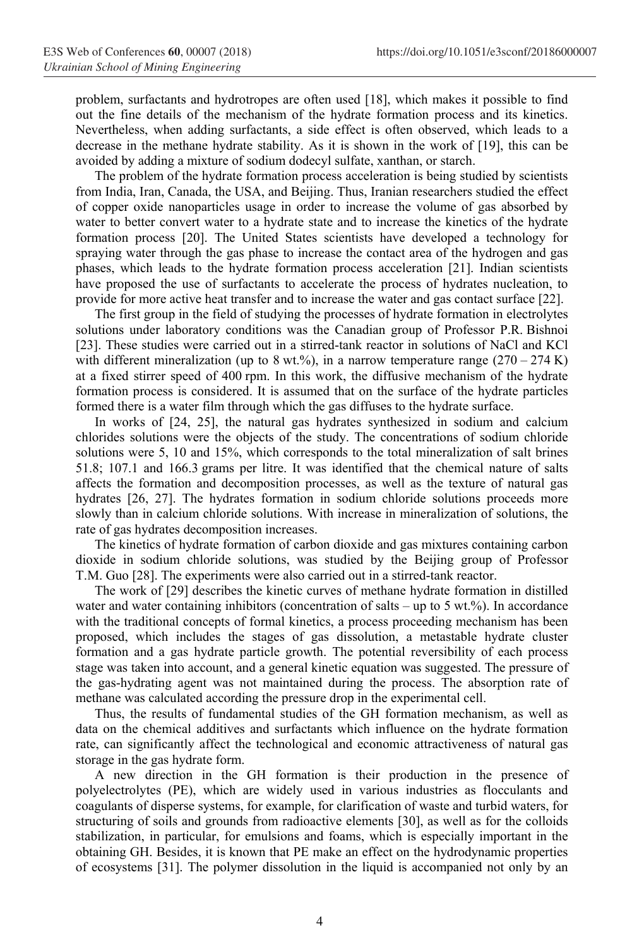problem, surfactants and hydrotropes are often used [18], which makes it possible to find out the fine details of the mechanism of the hydrate formation process and its kinetics. Nevertheless, when adding surfactants, a side effect is often observed, which leads to a decrease in the methane hydrate stability. As it is shown in the work of [19], this can be avoided by adding a mixture of sodium dodecyl sulfate, xanthan, or starch.

The problem of the hydrate formation process acceleration is being studied by scientists from India, Iran, Canada, the USA, and Beijing. Thus, Iranian researchers studied the effect of copper oxide nanoparticles usage in order to increase the volume of gas absorbed by water to better convert water to a hydrate state and to increase the kinetics of the hydrate formation process [20]. The United States scientists have developed a technology for spraying water through the gas phase to increase the contact area of the hydrogen and gas phases, which leads to the hydrate formation process acceleration [21]. Indian scientists have proposed the use of surfactants to accelerate the process of hydrates nucleation, to provide for more active heat transfer and to increase the water and gas contact surface [22].

The first group in the field of studying the processes of hydrate formation in electrolytes solutions under laboratory conditions was the Canadian group of Professor P.R. Bishnoi [23]. These studies were carried out in a stirred-tank reactor in solutions of NaCl and KCl with different mineralization (up to 8 wt.%), in a narrow temperature range  $(270 - 274 \text{ K})$ at a fixed stirrer speed of 400 rpm. In this work, the diffusive mechanism of the hydrate formation process is considered. It is assumed that on the surface of the hydrate particles formed there is a water film through which the gas diffuses to the hydrate surface.

In works of [24, 25], the natural gas hydrates synthesized in sodium and calcium chlorides solutions were the objects of the study. The concentrations of sodium chloride solutions were 5, 10 and 15%, which corresponds to the total mineralization of salt brines 51.8; 107.1 and 166.3 grams per litre. It was identified that the chemical nature of salts affects the formation and decomposition processes, as well as the texture of natural gas hydrates [26, 27]. The hydrates formation in sodium chloride solutions proceeds more slowly than in calcium chloride solutions. With increase in mineralization of solutions, the rate of gas hydrates decomposition increases.

The kinetics of hydrate formation of carbon dioxide and gas mixtures containing carbon dioxide in sodium chloride solutions, was studied by the Beijing group of Professor T.M. Guo [28]. The experiments were also carried out in a stirred-tank reactor.

The work of [29] describes the kinetic curves of methane hydrate formation in distilled water and water containing inhibitors (concentration of salts – up to 5 wt.%). In accordance with the traditional concepts of formal kinetics, a process proceeding mechanism has been proposed, which includes the stages of gas dissolution, a metastable hydrate cluster formation and a gas hydrate particle growth. The potential reversibility of each process stage was taken into account, and a general kinetic equation was suggested. The pressure of the gas-hydrating agent was not maintained during the process. The absorption rate of methane was calculated according the pressure drop in the experimental cell.

Thus, the results of fundamental studies of the GH formation mechanism, as well as data on the chemical additives and surfactants which influence on the hydrate formation rate, can significantly affect the technological and economic attractiveness of natural gas storage in the gas hydrate form.

A new direction in the GH formation is their production in the presence of polyelectrolytes (PE), which are widely used in various industries as flocculants and coagulants of disperse systems, for example, for clarification of waste and turbid waters, for structuring of soils and grounds from radioactive elements [30], as well as for the colloids stabilization, in particular, for emulsions and foams, which is especially important in the obtaining GH. Besides, it is known that PE make an effect on the hydrodynamic properties of ecosystems [31]. The polymer dissolution in the liquid is accompanied not only by an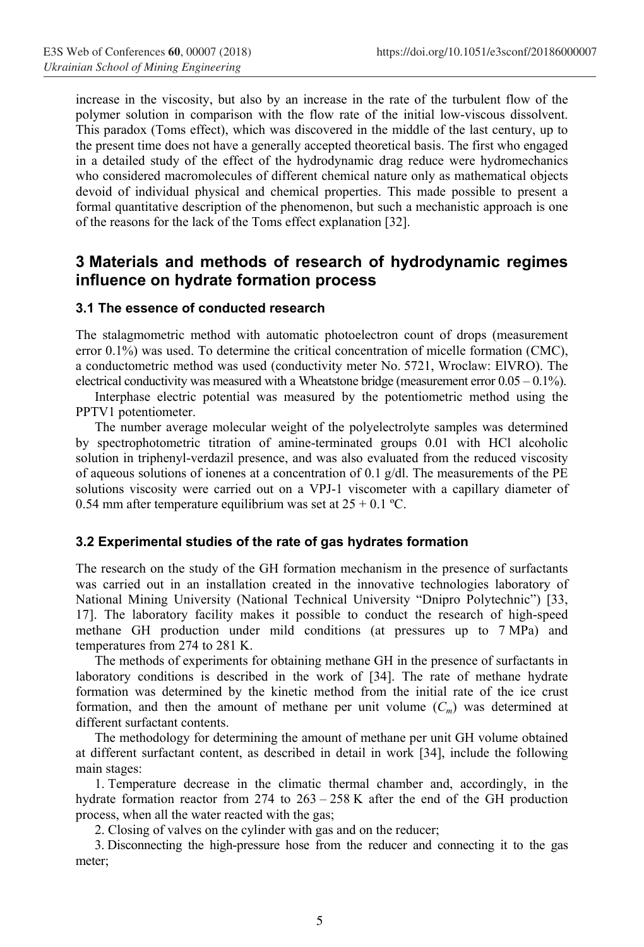increase in the viscosity, but also by an increase in the rate of the turbulent flow of the polymer solution in comparison with the flow rate of the initial low-viscous dissolvent. This paradox (Toms effect), which was discovered in the middle of the last century, up to the present time does not have a generally accepted theoretical basis. The first who engaged in a detailed study of the effect of the hydrodynamic drag reduce were hydromechanics who considered macromolecules of different chemical nature only as mathematical objects devoid of individual physical and chemical properties. This made possible to present a formal quantitative description of the phenomenon, but such a mechanistic approach is one of the reasons for the lack of the Toms effect explanation [32].

### **3 Materials and methods of research of hydrodynamic regimes influence on hydrate formation process**

#### **3.1 The essence of conducted research**

The stalagmometric method with automatic photoelectron count of drops (measurement error 0.1%) was used. To determine the critical concentration of micelle formation (CMC), a conductometric method was used (conductivity meter No. 5721, Wroclaw: ElVRO). The electrical conductivity was measured with a Wheatstone bridge (measurement error  $0.05 - 0.1\%$ ).

Interphase electric potential was measured by the potentiometric method using the PPTV1 potentiometer.

The number average molecular weight of the polyelectrolyte samples was determined by spectrophotometric titration of amine-terminated groups 0.01 with HCl alcoholic solution in triphenyl-verdazil presence, and was also evaluated from the reduced viscosity of aqueous solutions of ionenes at a concentration of 0.1  $g/dl$ . The measurements of the PE solutions viscosity were carried out on a VPJ-1 viscometer with a capillary diameter of 0.54 mm after temperature equilibrium was set at  $25 + 0.1$  °C.

#### **3.2 Experimental studies of the rate of gas hydrates formation**

The research on the study of the GH formation mechanism in the presence of surfactants was carried out in an installation created in the innovative technologies laboratory of National Mining University (National Technical University "Dnipro Polytechnic") [33, 17]. The laboratory facility makes it possible to conduct the research of high-speed methane GH production under mild conditions (at pressures up to 7 MPa) and temperatures from 274 to 281 K.

The methods of experiments for obtaining methane GH in the presence of surfactants in laboratory conditions is described in the work of [34]. The rate of methane hydrate formation was determined by the kinetic method from the initial rate of the ice crust formation, and then the amount of methane per unit volume  $(C_m)$  was determined at different surfactant contents.

The methodology for determining the amount of methane per unit GH volume obtained at different surfactant content, as described in detail in work [34], include the following main stages:

1. Temperature decrease in the climatic thermal chamber and, accordingly, in the hydrate formation reactor from  $274$  to  $263 - 258$  K after the end of the GH production process, when all the water reacted with the gas;

2. Closing of valves on the cylinder with gas and on the reducer;

3. Disconnecting the high-pressure hose from the reducer and connecting it to the gas meter;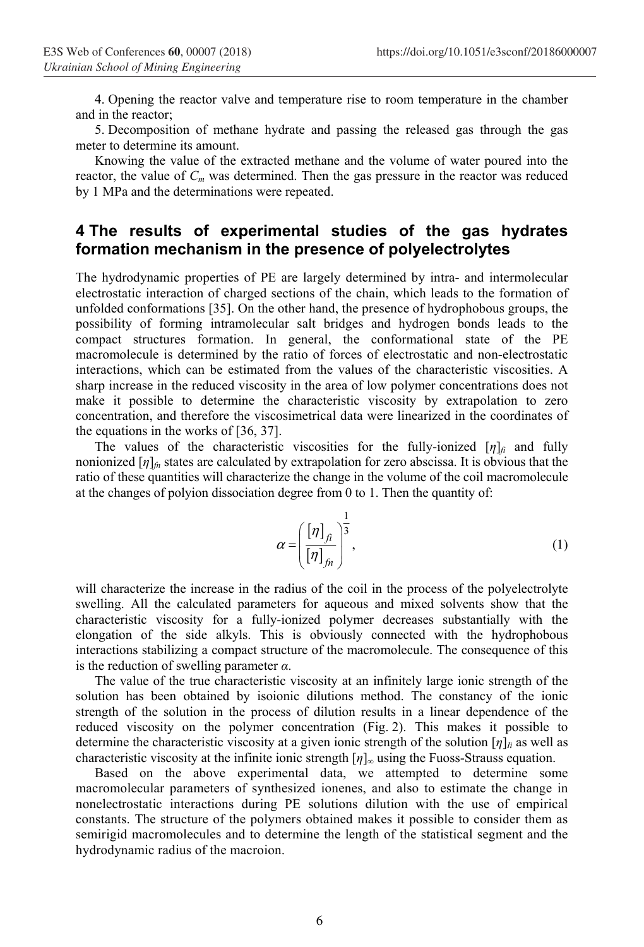4. Opening the reactor valve and temperature rise to room temperature in the chamber and in the reactor;

5. Decomposition of methane hydrate and passing the released gas through the gas meter to determine its amount.

Knowing the value of the extracted methane and the volume of water poured into the reactor, the value of  $C_m$  was determined. Then the gas pressure in the reactor was reduced by 1 MPa and the determinations were repeated.

# **4 The results of experimental studies of the gas hydrates formation mechanism in the presence of polyelectrolytes**

The hydrodynamic properties of PE are largely determined by intra- and intermolecular electrostatic interaction of charged sections of the chain, which leads to the formation of unfolded conformations [35]. On the other hand, the presence of hydrophobous groups, the possibility of forming intramolecular salt bridges and hydrogen bonds leads to the compact structures formation. In general, the conformational state of the PE macromolecule is determined by the ratio of forces of electrostatic and non-electrostatic interactions, which can be estimated from the values of the characteristic viscosities. A sharp increase in the reduced viscosity in the area of low polymer concentrations does not make it possible to determine the characteristic viscosity by extrapolation to zero concentration, and therefore the viscosimetrical data were linearized in the coordinates of the equations in the works of [36, 37].

The values of the characteristic viscosities for the fully-ionized  $[\eta]_n$  and fully nonionized  $[\eta]_{\hat{n}}$  states are calculated by extrapolation for zero abscissa. It is obvious that the ratio of these quantities will characterize the change in the volume of the coil macromolecule at the changes of polyion dissociation degree from 0 to 1. Then the quantity of:

$$
\alpha = \left(\frac{\left[\eta\right]_{\hat{f}}}{\left[\eta\right]_{\hat{f}n}}\right)^{\frac{1}{3}},\tag{1}
$$

will characterize the increase in the radius of the coil in the process of the polyelectrolyte swelling. All the calculated parameters for aqueous and mixed solvents show that the characteristic viscosity for a fully-ionized polymer decreases substantially with the elongation of the side alkyls. This is obviously connected with the hydrophobous interactions stabilizing a compact structure of the macromolecule. The consequence of this is the reduction of swelling parameter *α*.

The value of the true characteristic viscosity at an infinitely large ionic strength of the solution has been obtained by isoionic dilutions method. The constancy of the ionic strength of the solution in the process of dilution results in a linear dependence of the reduced viscosity on the polymer concentration (Fig. 2). This makes it possible to determine the characteristic viscosity at a given ionic strength of the solution  $[\eta]$ <sub>*Ii*</sub> as well as characteristic viscosity at the infinite ionic strength  $[\eta]_{\infty}$  using the Fuoss-Strauss equation.

Based on the above experimental data, we attempted to determine some macromolecular parameters of synthesized ionenes, and also to estimate the change in nonelectrostatic interactions during PE solutions dilution with the use of empirical constants. The structure of the polymers obtained makes it possible to consider them as semirigid macromolecules and to determine the length of the statistical segment and the hydrodynamic radius of the macroion.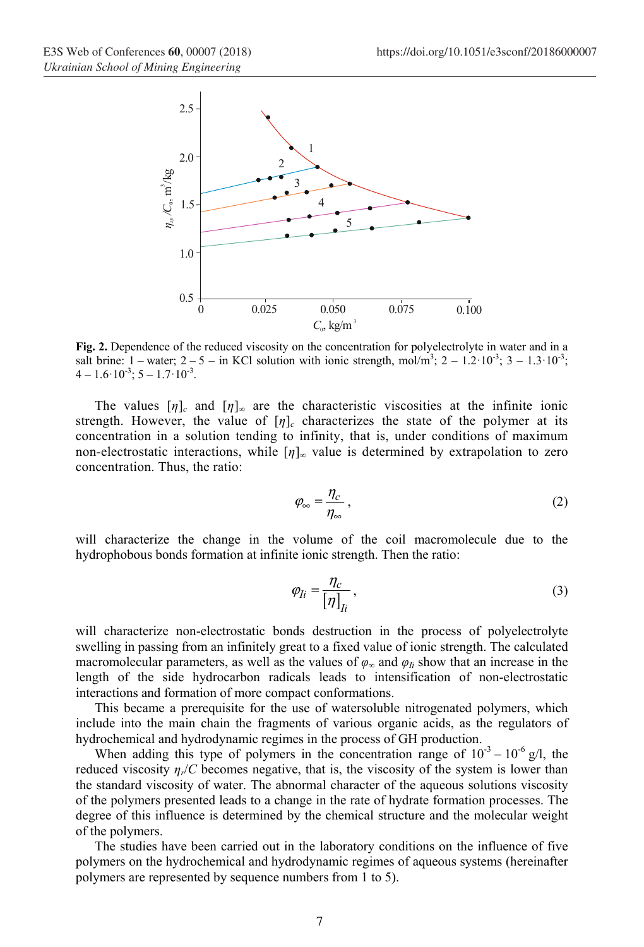

**Fig. 2.** Dependence of the reduced viscosity on the concentration for polyelectrolyte in water and in a salt brine:  $1 -$  water;  $2 - 5 -$  in KCl solution with ionic strength, mol/m<sup>3</sup>;  $2 - 1.2 \cdot 10^{-3}$ ;  $3 - 1.3 \cdot 10^{-3}$ ;  $4 - 1.6 \cdot 10^{-3}$ ;  $5 - 1.7 \cdot 10^{-3}$ .

The values  $[\eta]_c$  and  $[\eta]_{\infty}$  are the characteristic viscosities at the infinite ionic strength. However, the value of  $[\eta]_c$  characterizes the state of the polymer at its concentration in a solution tending to infinity, that is, under conditions of maximum non-electrostatic interactions, while  $[\eta]_{\infty}$  value is determined by extrapolation to zero concentration. Thus, the ratio:

$$
\varphi_{\infty} = \frac{\eta_c}{\eta_{\infty}}\,,\tag{2}
$$

will characterize the change in the volume of the coil macromolecule due to the hydrophobous bonds formation at infinite ionic strength. Then the ratio:

$$
\varphi_{Ii} = \frac{\eta_c}{[\eta]_{Ii}},\tag{3}
$$

will characterize non-electrostatic bonds destruction in the process of polyelectrolyte swelling in passing from an infinitely great to a fixed value of ionic strength. The calculated macromolecular parameters, as well as the values of  $\varphi_{\infty}$  and  $\varphi_{\iota i}$  show that an increase in the length of the side hydrocarbon radicals leads to intensification of non-electrostatic interactions and formation of more compact conformations.

This became a prerequisite for the use of watersoluble nitrogenated polymers, which include into the main chain the fragments of various organic acids, as the regulators of hydrochemical and hydrodynamic regimes in the process of GH production.

When adding this type of polymers in the concentration range of  $10^{-3} - 10^{-6}$  g/l, the reduced viscosity  $\eta_r/C$  becomes negative, that is, the viscosity of the system is lower than the standard viscosity of water. The abnormal character of the aqueous solutions viscosity of the polymers presented leads to a change in the rate of hydrate formation processes. The degree of this influence is determined by the chemical structure and the molecular weight of the polymers.

The studies have been carried out in the laboratory conditions on the influence of five polymers on the hydrochemical and hydrodynamic regimes of aqueous systems (hereinafter polymers are represented by sequence numbers from 1 to 5).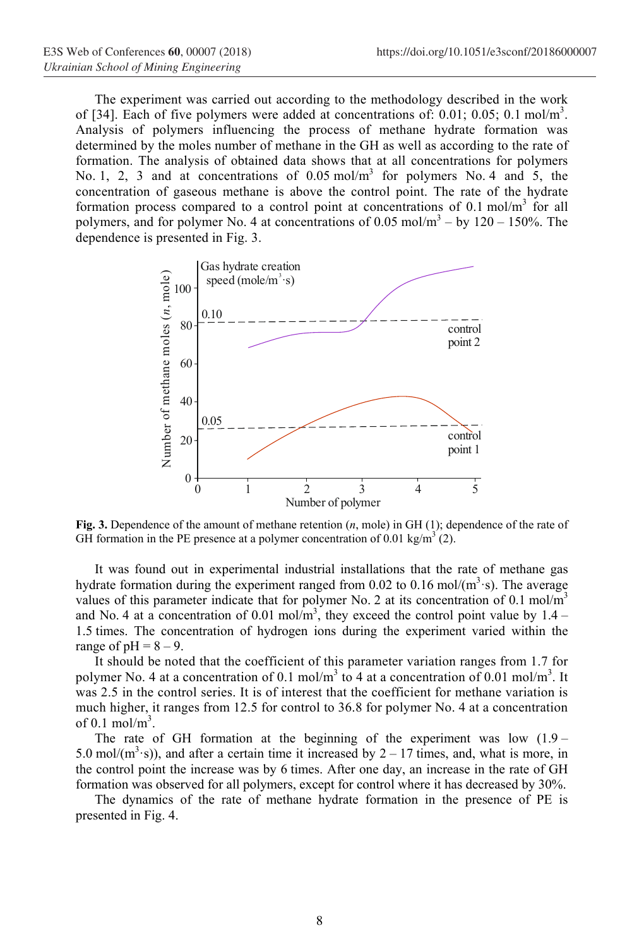The experiment was carried out according to the methodology described in the work of [34]. Each of five polymers were added at concentrations of:  $0.01; 0.05; 0.1 \text{ mol/m}^3$ . Analysis of polymers influencing the process of methane hydrate formation was determined by the moles number of methane in the GH as well as according to the rate of formation. The analysis of obtained data shows that at all concentrations for polymers No. 1, 2, 3 and at concentrations of  $0.05 \text{ mol/m}^3$  for polymers No. 4 and 5, the concentration of gaseous methane is above the control point. The rate of the hydrate formation process compared to a control point at concentrations of  $0.1 \text{ mol/m}^3$  for all polymers, and for polymer No. 4 at concentrations of  $0.05 \text{ mol/m}^3$  – by  $120 - 150\%$ . The dependence is presented in Fig. 3.



**Fig. 3.** Dependence of the amount of methane retention (*n*, mole) in GH (1); dependence of the rate of GH formation in the PE presence at a polymer concentration of 0.01 kg/m<sup>3</sup> (2).

It was found out in experimental industrial installations that the rate of methane gas hydrate formation during the experiment ranged from 0.02 to 0.16 mol/ $(m^3 \cdot s)$ . The average values of this parameter indicate that for polymer No. 2 at its concentration of 0.1 mol/ $m<sup>3</sup>$ and No. 4 at a concentration of 0.01 mol/m<sup>3</sup>, they exceed the control point value by 1.4 – 1.5 times. The concentration of hydrogen ions during the experiment varied within the range of  $pH = 8 - 9$ .

It should be noted that the coefficient of this parameter variation ranges from 1.7 for polymer No. 4 at a concentration of 0.1 mol/m<sup>3</sup> to 4 at a concentration of 0.01 mol/m<sup>3</sup>. It was 2.5 in the control series. It is of interest that the coefficient for methane variation is much higher, it ranges from 12.5 for control to 36.8 for polymer No. 4 at a concentration of  $0.1 \text{ mol/m}^3$ .

The rate of GH formation at the beginning of the experiment was low  $(1.9 -$ 5.0 mol/( $m<sup>3</sup>$ ·s)), and after a certain time it increased by 2 – 17 times, and, what is more, in the control point the increase was by 6 times. After one day, an increase in the rate of GH formation was observed for all polymers, except for control where it has decreased by 30%.

The dynamics of the rate of methane hydrate formation in the presence of PE is presented in Fig. 4.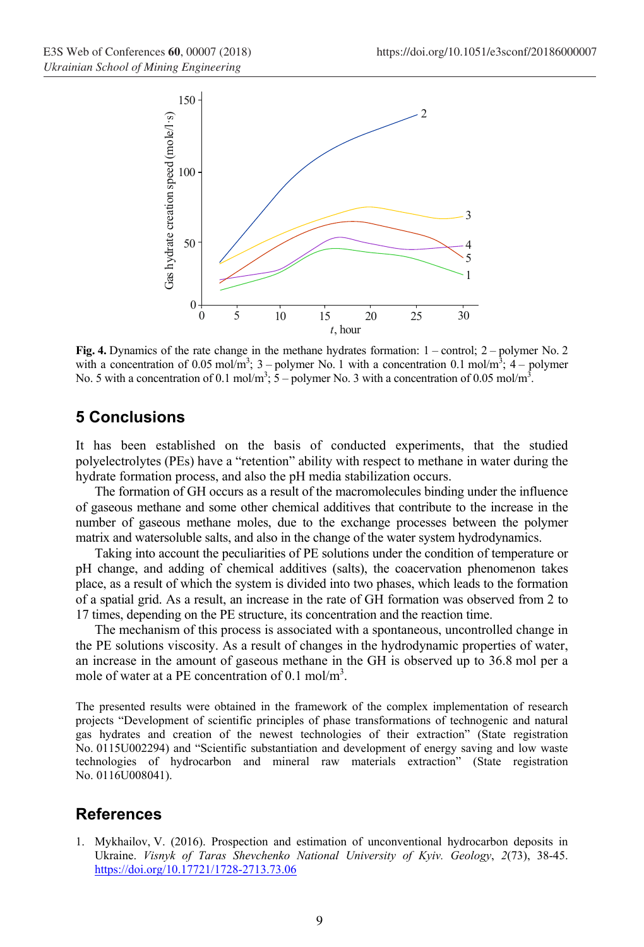

**Fig. 4.** Dynamics of the rate change in the methane hydrates formation: 1 – control; 2 – polymer No. 2 with a concentration of 0.05 mol/m<sup>3</sup>; 3 – polymer No. 1 with a concentration 0.1 mol/m<sup>3</sup>; 4 – polymer No. 5 with a concentration of 0.1 mol/m<sup>3</sup>;  $\overline{5}$  – polymer No. 3 with a concentration of 0.05 mol/m<sup>3</sup>.

# **5 Conclusions**

It has been established on the basis of conducted experiments, that the studied polyelectrolytes (PEs) have a "retention" ability with respect to methane in water during the hydrate formation process, and also the pH media stabilization occurs.

The formation of GH occurs as a result of the macromolecules binding under the influence of gaseous methane and some other chemical additives that contribute to the increase in the number of gaseous methane moles, due to the exchange processes between the polymer matrix and watersoluble salts, and also in the change of the water system hydrodynamics.

Taking into account the peculiarities of PE solutions under the condition of temperature or pH change, and adding of chemical additives (salts), the coacervation phenomenon takes place, as a result of which the system is divided into two phases, which leads to the formation of a spatial grid. As a result, an increase in the rate of GH formation was observed from 2 to 17 times, depending on the PE structure, its concentration and the reaction time.

The mechanism of this process is associated with a spontaneous, uncontrolled change in the PE solutions viscosity. As a result of changes in the hydrodynamic properties of water, an increase in the amount of gaseous methane in the GH is observed up to 36.8 mol per a mole of water at a PE concentration of 0.1 mol/ $m<sup>3</sup>$ .

The presented results were obtained in the framework of the complex implementation of research projects "Development of scientific principles of phase transformations of technogenic and natural gas hydrates and creation of the newest technologies of their extraction" (State registration No. 0115U002294) and "Scientific substantiation and development of energy saving and low waste technologies of hydrocarbon and mineral raw materials extraction" (State registration No. 0116U008041).

#### **References**

1. Mykhailov, V. (2016). Prospection and estimation of unconventional hydrocarbon deposits in Ukraine. *Visnyk of Taras Shevchenko National University of Kyiv. Geology*, *2*(73), 38-45. https://doi.org/10.17721/1728-2713.73.06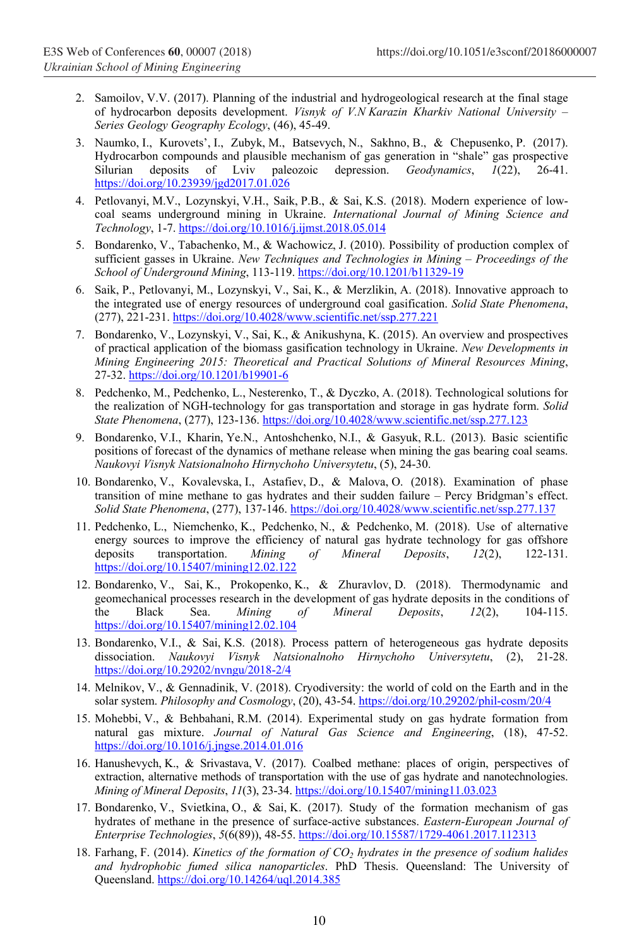- 2. Samoilov, V.V. (2017). Planning of the industrial and hydrogeological research at the final stage of hydrocarbon deposits development. *Visnyk of V.N Karazin Kharkiv National University – Series Geology Geography Ecology*, (46), 45-49.
- 3. Naumko, I., Kurovets', I., Zubyk, M., Batsevych, N., Sakhno, B., & Chepusenko, P. (2017). Hydrocarbon compounds and plausible mechanism of gas generation in "shale" gas prospective Silurian deposits of Lviv paleozoic depression. *Geodynamics*, *1*(22), 26-41. https://doi.org/10.23939/jgd2017.01.026
- 4. Petlovanyi, M.V., Lozynskyi, V.H., Saik, P.B., & Sai, K.S. (2018). Modern experience of lowcoal seams underground mining in Ukraine. *International Journal of Mining Science and Technology*, 1-7. https://doi.org/10.1016/j.ijmst.2018.05.014
- 5. Bondarenko, V., Tabachenko, M., & Wachowicz, J. (2010). Possibility of production complex of sufficient gasses in Ukraine. *New Techniques and Technologies in Mining – Proceedings of the School of Underground Mining*, 113-119. https://doi.org/10.1201/b11329-19
- 6. Saik, P., Petlovanyi, M., Lozynskyi, V., Sai, K., & Merzlikin, A. (2018). Innovative approach to the integrated use of energy resources of underground coal gasification. *Solid State Phenomena*, (277), 221-231. https://doi.org/10.4028/www.scientific.net/ssp.277.221
- 7. Bondarenko, V., Lozynskyi, V., Sai, K., & Anikushyna, K. (2015). An overview and prospectives of practical application of the biomass gasification technology in Ukraine. *New Developments in Mining Engineering 2015: Theoretical and Practical Solutions of Mineral Resources Mining*, 27-32. https://doi.org/10.1201/b19901-6
- 8. Pedchenko, M., Pedchenko, L., Nesterenko, T., & Dyczko, A. (2018). Technological solutions for the realization of NGH-technology for gas transportation and storage in gas hydrate form. *Solid State Phenomena*, (277), 123-136. https://doi.org/10.4028/www.scientific.net/ssp.277.123
- 9. Bondarenko, V.I., Kharin, Ye.N., Antoshchenko, N.I., & Gasyuk, R.L. (2013). Basic scientific positions of forecast of the dynamics of methane release when mining the gas bearing coal seams. *Naukovyi Visnyk Natsionalnoho Hirnychoho Universytetu*, (5), 24-30.
- 10. Bondarenko, V., Kovalevska, I., Astafiev, D., & Malova, O. (2018). Examination of phase transition of mine methane to gas hydrates and their sudden failure – Percy Bridgman's effect. *Solid State Phenomena*, (277), 137-146. https://doi.org/10.4028/www.scientific.net/ssp.277.137
- 11. Pedchenko, L., Niemchenko, K., Pedchenko, N., & Pedchenko, M. (2018). Use of alternative energy sources to improve the efficiency of natural gas hydrate technology for gas offshore deposits transportation. *Mining of Mineral Deposits*, *12*(2), 122-131. https://doi.org/10.15407/mining12.02.122
- 12. Bondarenko, V., Sai, K., Prokopenko, K., & Zhuravlov, D. (2018). Thermodynamic and geomechanical processes research in the development of gas hydrate deposits in the conditions of the Black Sea. *Mining of Mineral Deposits*, *12*(2), 104-115. https://doi.org/10.15407/mining12.02.104
- 13. Bondarenko, V.I., & Sai, K.S. (2018). Process pattern of heterogeneous gas hydrate deposits dissociation. *Naukovyi Visnyk Natsionalnoho Hirnychoho Universytetu*, (2), 21-28. https://doi.org/10.29202/nvngu/2018-2/4
- 14. Melnikov, V., & Gennadinik, V. (2018). Cryodiversity: the world of cold on the Earth and in the solar system. *Philosophy and Cosmology*, (20), 43-54. https://doi.org/10.29202/phil-cosm/20/4
- 15. Mohebbi, V., & Behbahani, R.M. (2014). Experimental study on gas hydrate formation from natural gas mixture. *Journal of Natural Gas Science and Engineering*, (18), 47-52. https://doi.org/10.1016/j.jngse.2014.01.016
- 16. Hanushevych, K., & Srivastava, V. (2017). Coalbed methane: places of origin, perspectives of extraction, alternative methods of transportation with the use of gas hydrate and nanotechnologies. *Mining of Mineral Deposits*, *11*(3), 23-34. https://doi.org/10.15407/mining11.03.023
- 17. Bondarenko, V., Svietkina, O., & Sai, K. (2017). Study of the formation mechanism of gas hydrates of methane in the presence of surface-active substances. *Eastern-European Journal of Enterprise Technologies*, *5*(6(89)), 48-55. https://doi.org/10.15587/1729-4061.2017.112313
- 18. Farhang, F. (2014). *Kinetics of the formation of CO2 hydrates in the presence of sodium halides and hydrophobic fumed silica nanoparticles*. PhD Thesis. Queensland: The University of Queensland. https://doi.org/10.14264/uql.2014.385